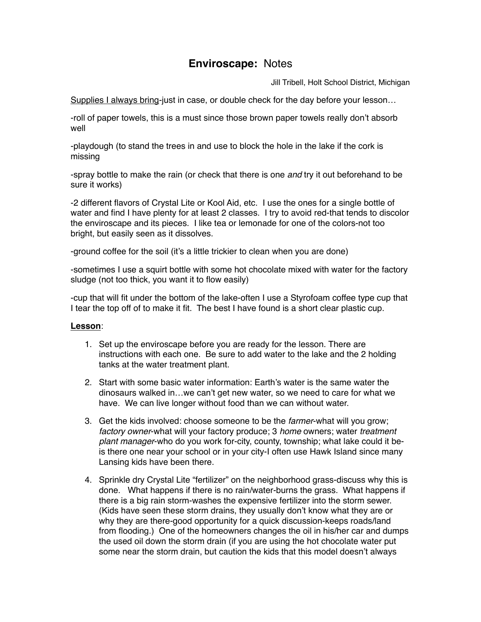## **Enviroscape:** Notes

Jill Tribell, Holt School District, Michigan

Supplies I always bring-just in case, or double check for the day before your lesson…

-roll of paper towels, this is a must since those brown paper towels really don't absorb well

-playdough (to stand the trees in and use to block the hole in the lake if the cork is missing

-spray bottle to make the rain (or check that there is one *and* try it out beforehand to be sure it works)

-2 different flavors of Crystal Lite or Kool Aid, etc. I use the ones for a single bottle of water and find I have plenty for at least 2 classes. I try to avoid red-that tends to discolor the enviroscape and its pieces. I like tea or lemonade for one of the colors-not too bright, but easily seen as it dissolves.

-ground coffee for the soil (it's a little trickier to clean when you are done)

-sometimes I use a squirt bottle with some hot chocolate mixed with water for the factory sludge (not too thick, you want it to flow easily)

-cup that will fit under the bottom of the lake-often I use a Styrofoam coffee type cup that I tear the top off of to make it fit. The best I have found is a short clear plastic cup.

## **Lesson**:

- 1. Set up the enviroscape before you are ready for the lesson. There are instructions with each one. Be sure to add water to the lake and the 2 holding tanks at the water treatment plant.
- 2. Start with some basic water information: Earth's water is the same water the dinosaurs walked in…we can't get new water, so we need to care for what we have. We can live longer without food than we can without water.
- 3. Get the kids involved: choose someone to be the *farmer*-what will you grow; *factory owner*-what will your factory produce; 3 *home* owners; water *treatment plant manager*-who do you work for-city, county, township; what lake could it beis there one near your school or in your city-I often use Hawk Island since many Lansing kids have been there.
- 4. Sprinkle dry Crystal Lite "fertilizer" on the neighborhood grass-discuss why this is done. What happens if there is no rain/water-burns the grass. What happens if there is a big rain storm-washes the expensive fertilizer into the storm sewer. (Kids have seen these storm drains, they usually don't know what they are or why they are there-good opportunity for a quick discussion-keeps roads/land from flooding.) One of the homeowners changes the oil in his/her car and dumps the used oil down the storm drain (if you are using the hot chocolate water put some near the storm drain, but caution the kids that this model doesn't always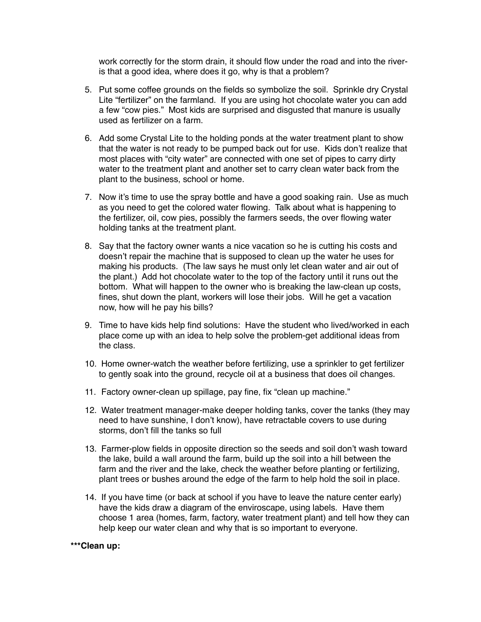work correctly for the storm drain, it should flow under the road and into the riveris that a good idea, where does it go, why is that a problem?

- 5. Put some coffee grounds on the fields so symbolize the soil. Sprinkle dry Crystal Lite "fertilizer" on the farmland. If you are using hot chocolate water you can add a few "cow pies." Most kids are surprised and disgusted that manure is usually used as fertilizer on a farm.
- 6. Add some Crystal Lite to the holding ponds at the water treatment plant to show that the water is not ready to be pumped back out for use. Kids don't realize that most places with "city water" are connected with one set of pipes to carry dirty water to the treatment plant and another set to carry clean water back from the plant to the business, school or home.
- 7. Now it's time to use the spray bottle and have a good soaking rain. Use as much as you need to get the colored water flowing. Talk about what is happening to the fertilizer, oil, cow pies, possibly the farmers seeds, the over flowing water holding tanks at the treatment plant.
- 8. Say that the factory owner wants a nice vacation so he is cutting his costs and doesn't repair the machine that is supposed to clean up the water he uses for making his products. (The law says he must only let clean water and air out of the plant.) Add hot chocolate water to the top of the factory until it runs out the bottom. What will happen to the owner who is breaking the law-clean up costs, fines, shut down the plant, workers will lose their jobs. Will he get a vacation now, how will he pay his bills?
- 9. Time to have kids help find solutions: Have the student who lived/worked in each place come up with an idea to help solve the problem-get additional ideas from the class.
- 10. Home owner-watch the weather before fertilizing, use a sprinkler to get fertilizer to gently soak into the ground, recycle oil at a business that does oil changes.
- 11. Factory owner-clean up spillage, pay fine, fix "clean up machine."
- 12. Water treatment manager-make deeper holding tanks, cover the tanks (they may need to have sunshine, I don't know), have retractable covers to use during storms, don't fill the tanks so full
- 13. Farmer-plow fields in opposite direction so the seeds and soil don't wash toward the lake, build a wall around the farm, build up the soil into a hill between the farm and the river and the lake, check the weather before planting or fertilizing, plant trees or bushes around the edge of the farm to help hold the soil in place.
- 14. If you have time (or back at school if you have to leave the nature center early) have the kids draw a diagram of the enviroscape, using labels. Have them choose 1 area (homes, farm, factory, water treatment plant) and tell how they can help keep our water clean and why that is so important to everyone.

## **\*\*\*Clean up:**